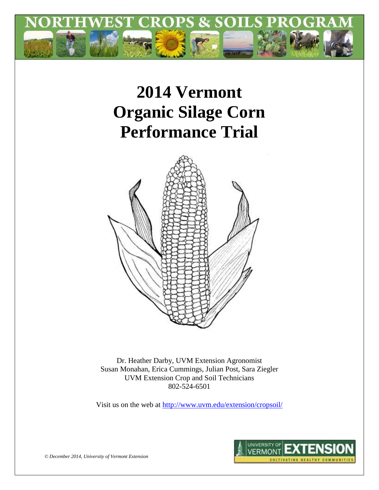

# **2014 Vermont Organic Silage Corn Performance Trial**



Dr. Heather Darby, UVM Extension Agronomist Susan Monahan, Erica Cummings, Julian Post, Sara Ziegler UVM Extension Crop and Soil Technicians 802-524-6501

Visit us on the web at<http://www.uvm.edu/extension/cropsoil/>



*© December 2014, University of Vermont Extension*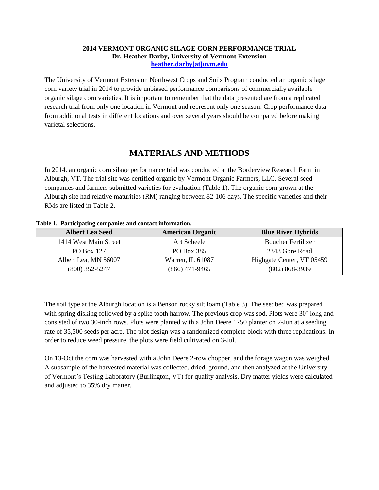#### **2014 VERMONT ORGANIC SILAGE CORN PERFORMANCE TRIAL Dr. Heather Darby, University of Vermont Extension [heather.darby\[at\]uvm.edu](mailto:heather.darby@uvm.edu?subject=2012%20Short%20Season%20Corn%20Report)**

The University of Vermont Extension Northwest Crops and Soils Program conducted an organic silage corn variety trial in 2014 to provide unbiased performance comparisons of commercially available organic silage corn varieties. It is important to remember that the data presented are from a replicated research trial from only one location in Vermont and represent only one season. Crop performance data from additional tests in different locations and over several years should be compared before making varietal selections.

## **MATERIALS AND METHODS**

In 2014, an organic corn silage performance trial was conducted at the Borderview Research Farm in Alburgh, VT. The trial site was certified organic by Vermont Organic Farmers, LLC. Several seed companies and farmers submitted varieties for evaluation (Table 1). The organic corn grown at the Alburgh site had relative maturities (RM) ranging between 82-106 days. The specific varieties and their RMs are listed in Table 2.

#### **Table 1. Participating companies and contact information.**

| <b>Albert Lea Seed</b> | <b>American Organic</b> | <b>Blue River Hybrids</b> |
|------------------------|-------------------------|---------------------------|
| 1414 West Main Street  | Art Scheele             | <b>Boucher Fertilizer</b> |
| <b>PO Box 127</b>      | PO Box 385              | 2343 Gore Road            |
| Albert Lea, MN 56007   | Warren, IL 61087        | Highgate Center, VT 05459 |
| $(800)$ 352-5247       | $(866)$ 471-9465        | $(802) 868 - 3939$        |

The soil type at the Alburgh location is a Benson rocky silt loam (Table 3). The seedbed was prepared with spring disking followed by a spike tooth harrow. The previous crop was sod. Plots were 30' long and consisted of two 30-inch rows. Plots were planted with a John Deere 1750 planter on 2-Jun at a seeding rate of 35,500 seeds per acre. The plot design was a randomized complete block with three replications. In order to reduce weed pressure, the plots were field cultivated on 3-Jul.

On 13-Oct the corn was harvested with a John Deere 2-row chopper, and the forage wagon was weighed. A subsample of the harvested material was collected, dried, ground, and then analyzed at the University of Vermont's Testing Laboratory (Burlington, VT) for quality analysis. Dry matter yields were calculated and adjusted to 35% dry matter.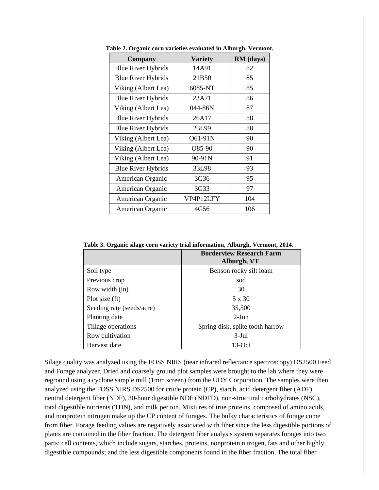| <b>Company</b>            | <b>Variety</b> | RM (days) |
|---------------------------|----------------|-----------|
| <b>Blue River Hybrids</b> | 14A91          | 82        |
| <b>Blue River Hybrids</b> | 21B50          | 85        |
| Viking (Albert Lea)       | 6085-NT        | 85        |
| <b>Blue River Hybrids</b> | 23A71          | 86        |
| Viking (Albert Lea)       | 044-86N        | 87        |
| <b>Blue River Hybrids</b> | 26A17          | 88        |
| <b>Blue River Hybrids</b> | 23L99          | 88        |
| Viking (Albert Lea)       | O61-91N        | 90        |
| Viking (Albert Lea)       | O85-90         | 90        |
| Viking (Albert Lea)       | 90-91N         | 91        |
| <b>Blue River Hybrids</b> | 33L98          | 93        |
| American Organic          | 3G36           | 95        |
| American Organic          | 3G33           | 97        |
| American Organic          | VP4P12LFY      | 104       |
| American Organic          | 4G56           | 106       |

**Table 2. Organic corn varieties evaluated in Alburgh, Vermont.**

**Table 3. Organic silage corn variety trial information, Alburgh, Vermont, 2014.**

|                           | <b>Borderview Research Farm</b><br>Alburgh, VT |
|---------------------------|------------------------------------------------|
| Soil type                 | Benson rocky silt loam                         |
| Previous crop             | sod                                            |
| Row width (in)            | 30                                             |
| Plot size (ft)            | 5 x 30                                         |
| Seeding rate (seeds/acre) | 35,500                                         |
| Planting date             | $2-J$ un                                       |
| Tillage operations        | Spring disk, spike tooth harrow                |
| Row cultivation           | $3-Jul$                                        |
| Harvest date              | $13-Oct$                                       |

Silage quality was analyzed using the FOSS NIRS (near infrared reflectance spectroscopy) DS2500 Feed and Forage analyzer. Dried and coarsely ground plot samples were brought to the lab where they were reground using a cyclone sample mill (1mm screen) from the UDY Corporation. The samples were then analyzed using the FOSS NIRS DS2500 for crude protein (CP), starch, acid detergent fiber (ADF), neutral detergent fiber (NDF), 30-hour digestible NDF (NDFD), non-structural carbohydrates (NSC), total digestible nutrients (TDN), and milk per ton. Mixtures of true proteins, composed of amino acids, and nonprotein nitrogen make up the CP content of forages. The bulky characteristics of forage come from fiber. Forage feeding values are negatively associated with fiber since the less digestible portions of plants are contained in the fiber fraction. The detergent fiber analysis system separates forages into two parts: cell contents, which include sugars, starches, proteins, nonprotein nitrogen, fats and other highly digestible compounds; and the less digestible components found in the fiber fraction. The total fiber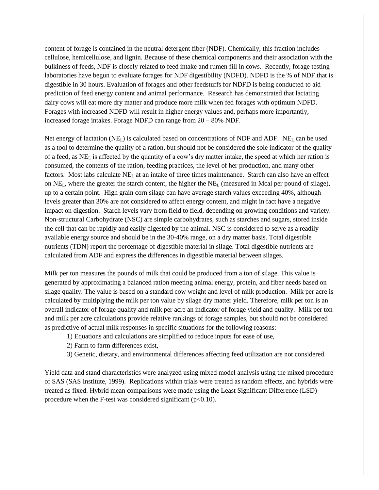content of forage is contained in the neutral detergent fiber (NDF). Chemically, this fraction includes cellulose, hemicellulose, and lignin. Because of these chemical components and their association with the bulkiness of feeds, NDF is closely related to feed intake and rumen fill in cows. Recently, forage testing laboratories have begun to evaluate forages for NDF digestibility (NDFD). NDFD is the % of NDF that is digestible in 30 hours. Evaluation of forages and other feedstuffs for NDFD is being conducted to aid prediction of feed energy content and animal performance. Research has demonstrated that lactating dairy cows will eat more dry matter and produce more milk when fed forages with optimum NDFD. Forages with increased NDFD will result in higher energy values and, perhaps more importantly, increased forage intakes. Forage NDFD can range from 20 – 80% NDF.

Net energy of lactation ( $NE<sub>L</sub>$ ) is calculated based on concentrations of NDF and ADF. NE<sub>L</sub> can be used as a tool to determine the quality of a ration, but should not be considered the sole indicator of the quality of a feed, as NE<sup>L</sup> is affected by the quantity of a cow's dry matter intake, the speed at which her ration is consumed, the contents of the ration, feeding practices, the level of her production, and many other factors. Most labs calculate  $NE<sub>L</sub>$  at an intake of three times maintenance. Starch can also have an effect on  $NE<sub>L</sub>$ , where the greater the starch content, the higher the  $NE<sub>L</sub>$  (measured in Mcal per pound of silage), up to a certain point. High grain corn silage can have average starch values exceeding 40%, although levels greater than 30% are not considered to affect energy content, and might in fact have a negative impact on digestion. Starch levels vary from field to field, depending on growing conditions and variety. Non-structural Carbohydrate (NSC) are simple carbohydrates, such as starches and sugars, stored inside the cell that can be rapidly and easily digested by the animal. NSC is considered to serve as a readily available energy source and should be in the 30-40% range, on a dry matter basis. Total digestible nutrients (TDN) report the percentage of digestible material in silage. Total digestible nutrients are calculated from ADF and express the differences in digestible material between silages.

Milk per ton measures the pounds of milk that could be produced from a ton of silage. This value is generated by approximating a balanced ration meeting animal energy, protein, and fiber needs based on silage quality. The value is based on a standard cow weight and level of milk production. Milk per acre is calculated by multiplying the milk per ton value by silage dry matter yield. Therefore, milk per ton is an overall indicator of forage quality and milk per acre an indicator of forage yield and quality. Milk per ton and milk per acre calculations provide relative rankings of forage samples, but should not be considered as predictive of actual milk responses in specific situations for the following reasons:

- 1) Equations and calculations are simplified to reduce inputs for ease of use,
- 2) Farm to farm differences exist,
- 3) Genetic, dietary, and environmental differences affecting feed utilization are not considered.

Yield data and stand characteristics were analyzed using mixed model analysis using the mixed procedure of SAS (SAS Institute, 1999). Replications within trials were treated as random effects, and hybrids were treated as fixed. Hybrid mean comparisons were made using the Least Significant Difference (LSD) procedure when the F-test was considered significant  $(p<0.10)$ .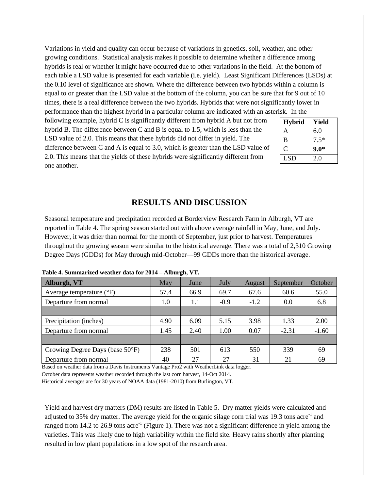Variations in yield and quality can occur because of variations in genetics, soil, weather, and other growing conditions. Statistical analysis makes it possible to determine whether a difference among hybrids is real or whether it might have occurred due to other variations in the field. At the bottom of each table a LSD value is presented for each variable (i.e. yield). Least Significant Differences (LSDs) at the 0.10 level of significance are shown. Where the difference between two hybrids within a column is equal to or greater than the LSD value at the bottom of the column, you can be sure that for 9 out of 10 times, there is a real difference between the two hybrids. Hybrids that were not significantly lower in performance than the highest hybrid in a particular column are indicated with an asterisk. In the

following example, hybrid C is significantly different from hybrid A but not from hybrid B. The difference between C and B is equal to 1.5, which is less than the LSD value of 2.0. This means that these hybrids did not differ in yield. The difference between C and A is equal to 3.0, which is greater than the LSD value of 2.0. This means that the yields of these hybrids were significantly different from one another.

| <b>Hybrid</b> | Yield  |
|---------------|--------|
| A             | 6.0    |
| B             | $7.5*$ |
| C             | $9.0*$ |
| LSD           | 2.0    |

## **RESULTS AND DISCUSSION**

Seasonal temperature and precipitation recorded at Borderview Research Farm in Alburgh, VT are reported in Table 4. The spring season started out with above average rainfall in May, June, and July. However, it was drier than normal for the month of September, just prior to harvest. Temperatures throughout the growing season were similar to the historical average. There was a total of 2,310 Growing Degree Days (GDDs) for May through mid-October—99 GDDs more than the historical average.

| Alburgh, VT                         | May  | June | July             | <b>August</b> | September | October |
|-------------------------------------|------|------|------------------|---------------|-----------|---------|
| Average temperature $({}^{\circ}F)$ | 57.4 | 66.9 | 69.7<br>67.6     |               | 60.6      | 55.0    |
| Departure from normal               | 1.0  | 1.1  | $-1.2$<br>$-0.9$ |               | 0.0       | 6.8     |
|                                     |      |      |                  |               |           |         |
| Precipitation (inches)              | 4.90 | 6.09 | 5.15             | 3.98          | 1.33      | 2.00    |
| Departure from normal               | 1.45 | 2.40 | 1.00             | 0.07          | $-2.31$   | $-1.60$ |
|                                     |      |      |                  |               |           |         |
| Growing Degree Days (base 50°F)     | 238  | 501  | 613              | 550           | 339       | 69      |
| Departure from normal               | 40   | 27   | $-27$            | $-31$         | 21        | 69      |

**Table 4. Summarized weather data for 2014 – Alburgh, VT.**

Based on weather data from a Davis Instruments Vantage Pro2 with WeatherLink data logger.

October data represents weather recorded through the last corn harvest, 14-Oct 2014.

Historical averages are for 30 years of NOAA data (1981-2010) from Burlington, VT.

Yield and harvest dry matters (DM) results are listed in Table 5. Dry matter yields were calculated and adjusted to 35% dry matter. The average yield for the organic silage corn trial was 19.3 tons acre<sup>-1</sup> and ranged from 14.2 to 26.9 tons acre<sup>-1</sup> (Figure 1). There was not a significant difference in yield among the varieties. This was likely due to high variability within the field site. Heavy rains shortly after planting resulted in low plant populations in a low spot of the research area.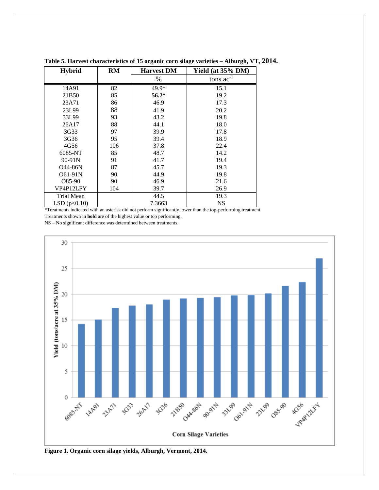| <b>Hybrid</b> | <b>RM</b> | <b>Harvest DM</b> | Yield (at 35% DM) |
|---------------|-----------|-------------------|-------------------|
|               |           | %                 | tons $ac^{-1}$    |
| 14A91         | 82        | 49.9*             | 15.1              |
| 21B50         | 85        | $56.2*$           | 19.2              |
| 23A71         | 86        | 46.9              | 17.3              |
| 23L99         | 88        | 41.9              | 20.2              |
| 33L99         | 93        | 43.2              | 19.8              |
| 26A17         | 88        | 44.1              | 18.0              |
| 3G33          | 97        | 39.9              | 17.8              |
| 3G36          | 95        | 39.4              | 18.9              |
| 4G56          | 106       | 37.8              | 22.4              |
| 6085-NT       | 85        | 48.7              | 14.2              |
| $90 - 91N$    | 91        | 41.7              | 19.4              |
| Q44-86N       | 87        | 45.7              | 19.3              |
| O61-91N       | 90        | 44.9              | 19.8              |
| O85-90        | 90        | 46.9              | 21.6              |
| VP4P12LFY     | 104       | 39.7              | 26.9              |
| Trial Mean    |           | 44.5              | 19.3              |
| LSD(p<0.10)   |           | 7.3663            | <b>NS</b>         |

**Table 5. Harvest characteristics of 15 organic corn silage varieties – Alburgh, VT, 2014.**

\*Treatments indicated with an asterisk did not perform significantly lower than the top-performing treatment.

Treatments shown in **bold** are of the highest value or top performing.

NS – No significant difference was determined between treatments.



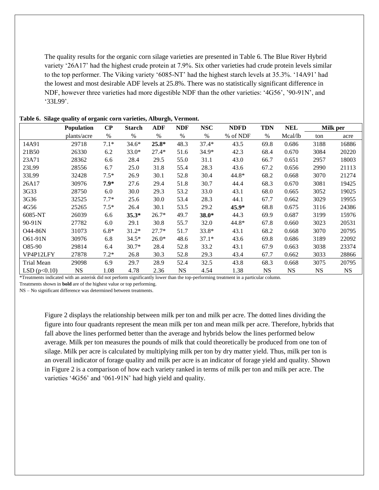The quality results for the organic corn silage varieties are presented in Table 6. The Blue River Hybrid variety '26A17' had the highest crude protein at 7.9%. Six other varieties had crude protein levels similar to the top performer. The Viking variety '6085-NT' had the highest starch levels at 35.3%. '14A91' had the lowest and most desirable ADF levels at 25.8%. There was no statistically significant difference in NDF, however three varieties had more digestible NDF than the other varieties: '4G56', '90-91N', and '33L99'.

|                | <b>Population</b> | $\bf CP$ | <b>Starch</b> | ADF     | <b>NDF</b> | <b>NSC</b> | <b>NDFD</b> | <b>TDN</b> | NEL       | Milk per  |           |
|----------------|-------------------|----------|---------------|---------|------------|------------|-------------|------------|-----------|-----------|-----------|
|                | plants/acre       | $\%$     | $\%$          | $\%$    | $\%$       | $\%$       | % of NDF    | $\%$       | Mcal/lb   | ton       | acre      |
| 14A91          | 29718             | $7.1*$   | $34.6*$       | $25.8*$ | 48.3       | 37.4*      | 43.5        | 69.8       | 0.686     | 3188      | 16886     |
| 21B50          | 26330             | 6.2      | $33.0*$       | $27.4*$ | 51.6       | $34.9*$    | 42.3        | 68.4       | 0.670     | 3084      | 20220     |
| 23A71          | 28362             | 6.6      | 28.4          | 29.5    | 55.0       | 31.1       | 43.0        | 66.7       | 0.651     | 2957      | 18003     |
| 23L99          | 28556             | 6.7      | 25.0          | 31.8    | 55.4       | 28.3       | 43.6        | 67.2       | 0.656     | 2990      | 21113     |
| 33L99          | 32428             | $7.5*$   | 26.9          | 30.1    | 52.8       | 30.4       | 44.8*       | 68.2       | 0.668     | 3070      | 21274     |
| 26A17          | 30976             | $7.9*$   | 27.6          | 29.4    | 51.8       | 30.7       | 44.4        | 68.3       | 0.670     | 3081      | 19425     |
| 3G33           | 28750             | 6.0      | 30.0          | 29.3    | 53.2       | 33.0       | 43.1        | 68.0       | 0.665     | 3052      | 19025     |
| 3G36           | 32525             | $7.7*$   | 25.6          | 30.0    | 53.4       | 28.3       | 44.1        | 67.7       | 0.662     | 3029      | 19955     |
| 4G56           | 25265             | $7.5*$   | 26.4          | 30.1    | 53.5       | 29.2       | $45.9*$     | 68.8       | 0.675     | 3116      | 24386     |
| 6085-NT        | 26039             | 6.6      | $35.3*$       | $26.7*$ | 49.7       | $38.0*$    | 44.3        | 69.9       | 0.687     | 3199      | 15976     |
| 90-91N         | 27782             | 6.0      | 29.1          | 30.8    | 55.7       | 32.0       | 44.8*       | 67.8       | 0.660     | 3023      | 20531     |
| O44-86N        | 31073             | $6.8*$   | $31.2*$       | $27.7*$ | 51.7       | $33.8*$    | 43.1        | 68.2       | 0.668     | 3070      | 20795     |
| O61-91N        | 30976             | 6.8      | $34.5*$       | $26.0*$ | 48.6       | $37.1*$    | 43.6        | 69.8       | 0.686     | 3189      | 22092     |
| O85-90         | 29814             | 6.4      | $30.7*$       | 28.4    | 52.8       | 33.2       | 43.1        | 67.9       | 0.663     | 3038      | 23374     |
| VP4P12LFY      | 27878             | $7.2*$   | 26.8          | 30.3    | 52.8       | 29.3       | 43.4        | 67.7       | 0.662     | 3033      | 28866     |
| Trial Mean     | 29098             | 6.9      | 29.7          | 28.9    | 52.4       | 32.5       | 43.8        | 68.3       | 0.668     | 3075      | 20795     |
| LSD $(p<0.10)$ | <b>NS</b>         | 1.08     | 4.78          | 2.36    | <b>NS</b>  | 4.54       | 1.38        | <b>NS</b>  | <b>NS</b> | <b>NS</b> | <b>NS</b> |

**Table 6. Silage quality of organic corn varieties, Alburgh, Vermont.**

\*Treatments indicated with an asterisk did not perform significantly lower than the top-performing treatment in a particular column.

Treatments shown in **bold** are of the highest value or top performing.

NS – No significant difference was determined between treatments.

Figure 2 displays the relationship between milk per ton and milk per acre. The dotted lines dividing the figure into four quadrants represent the mean milk per ton and mean milk per acre. Therefore, hybrids that fall above the lines performed better than the average and hybrids below the lines performed below average. Milk per ton measures the pounds of milk that could theoretically be produced from one ton of silage. Milk per acre is calculated by multiplying milk per ton by dry matter yield. Thus, milk per ton is an overall indicator of forage quality and milk per acre is an indicator of forage yield and quality. Shown in Figure 2 is a comparison of how each variety ranked in terms of milk per ton and milk per acre. The varieties '4G56' and '061-91N' had high yield and quality.